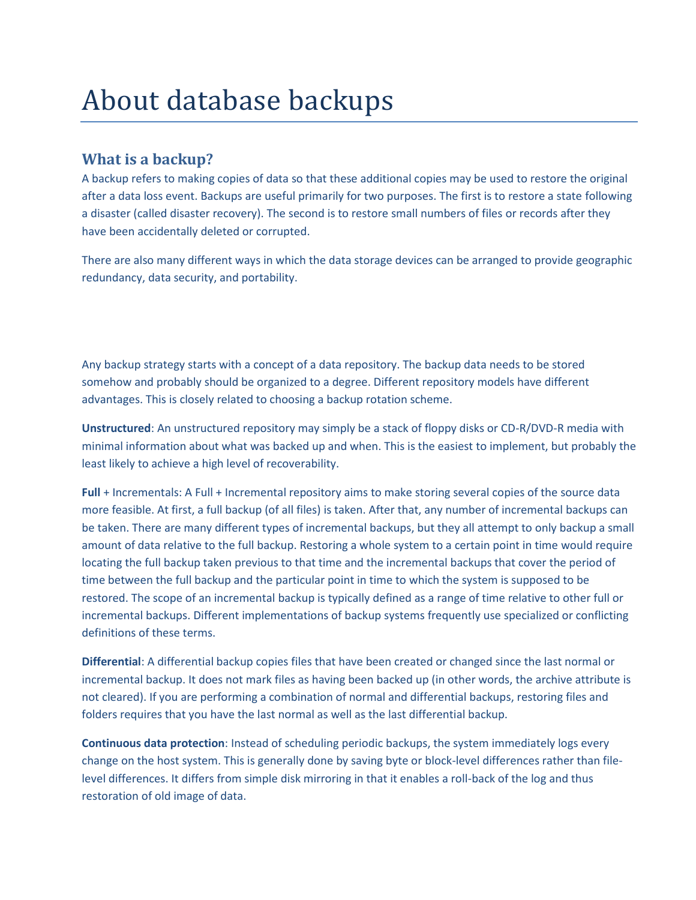# About database backups

### **What is a backup?**

A backup refers to making copies of data so that these additional copies may be used to restore the original after a data loss event. Backups are useful primarily for two purposes. The first is to restore a state following a disaster (called disaster recovery). The second is to restore small numbers of files or records after they have been accidentally deleted or corrupted.

There are also many different ways in which the data storage devices can be arranged to provide geographic redundancy, data security, and portability.

Any backup strategy starts with a concept of a data repository. The backup data needs to be stored somehow and probably should be organized to a degree. Different repository models have different advantages. This is closely related to choosing a backup rotation scheme.

**Unstructured**: An unstructured repository may simply be a stack of floppy disks or CD-R/DVD-R media with minimal information about what was backed up and when. This is the easiest to implement, but probably the least likely to achieve a high level of recoverability.

**Full** + Incrementals: A Full + Incremental repository aims to make storing several copies of the source data more feasible. At first, a full backup (of all files) is taken. After that, any number of incremental backups can be taken. There are many different types of incremental backups, but they all attempt to only backup a small amount of data relative to the full backup. Restoring a whole system to a certain point in time would require locating the full backup taken previous to that time and the incremental backups that cover the period of time between the full backup and the particular point in time to which the system is supposed to be restored. The scope of an incremental backup is typically defined as a range of time relative to other full or incremental backups. Different implementations of backup systems frequently use specialized or conflicting definitions of these terms.

**Differential**: A differential backup copies files that have been created or changed since the last normal or incremental backup. It does not mark files as having been backed up (in other words, the archive attribute is not cleared). If you are performing a combination of normal and differential backups, restoring files and folders requires that you have the last normal as well as the last differential backup.

**Continuous data protection**: Instead of scheduling periodic backups, the system immediately logs every change on the host system. This is generally done by saving byte or block-level differences rather than filelevel differences. It differs from simple disk mirroring in that it enables a roll-back of the log and thus restoration of old image of data.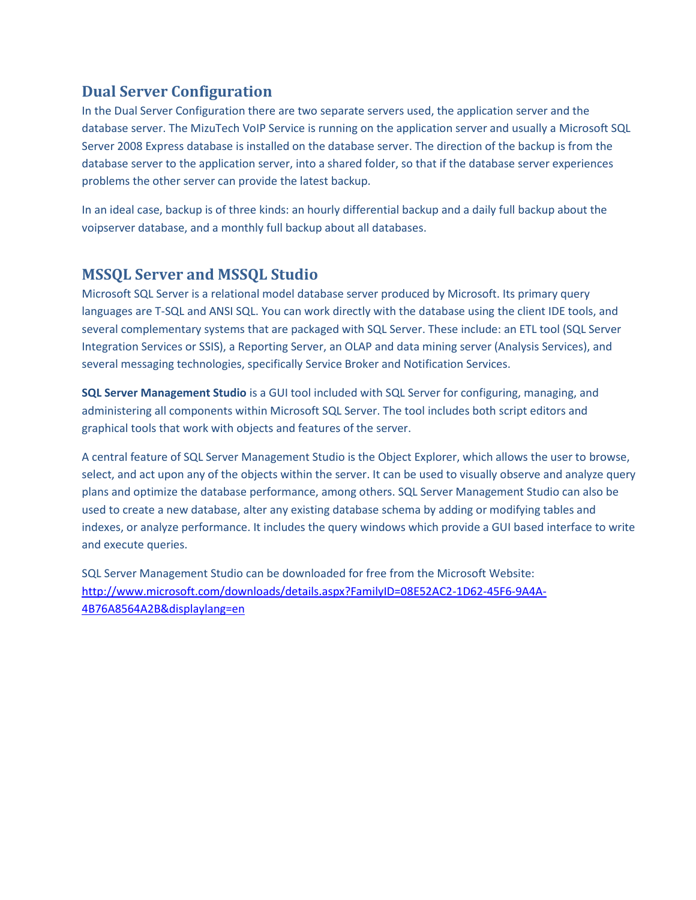# **Dual Server Configuration**

In the Dual Server Configuration there are two separate servers used, the application server and the database server. The MizuTech VoIP Service is running on the application server and usually a Microsoft SQL Server 2008 Express database is installed on the database server. The direction of the backup is from the database server to the application server, into a shared folder, so that if the database server experiences problems the other server can provide the latest backup.

In an ideal case, backup is of three kinds: an hourly differential backup and a daily full backup about the voipserver database, and a monthly full backup about all databases.

# **MSSQL Server and MSSQL Studio**

Microsoft SQL Server is a relational model database server produced by Microsoft. Its primary query languages are T-SQL and ANSI SQL. You can work directly with the database using the client IDE tools, and several complementary systems that are packaged with SQL Server. These include: an ETL tool (SQL Server Integration Services or SSIS), a Reporting Server, an OLAP and data mining server (Analysis Services), and several messaging technologies, specifically Service Broker and Notification Services.

**SQL Server Management Studio** is a GUI tool included with SQL Server for configuring, managing, and administering all components within Microsoft SQL Server. The tool includes both script editors and graphical tools that work with objects and features of the server.

A central feature of SQL Server Management Studio is the Object Explorer, which allows the user to browse, select, and act upon any of the objects within the server. It can be used to visually observe and analyze query plans and optimize the database performance, among others. SQL Server Management Studio can also be used to create a new database, alter any existing database schema by adding or modifying tables and indexes, or analyze performance. It includes the query windows which provide a GUI based interface to write and execute queries.

SQL Server Management Studio can be downloaded for free from the Microsoft Website: [http://www.microsoft.com/downloads/details.aspx?FamilyID=08E52AC2-1D62-45F6-9A4A-](http://www.microsoft.com/downloads/details.aspx?FamilyID=08E52AC2-1D62-45F6-9A4A-4B76A8564A2B&displaylang=en)[4B76A8564A2B&displaylang=en](http://www.microsoft.com/downloads/details.aspx?FamilyID=08E52AC2-1D62-45F6-9A4A-4B76A8564A2B&displaylang=en)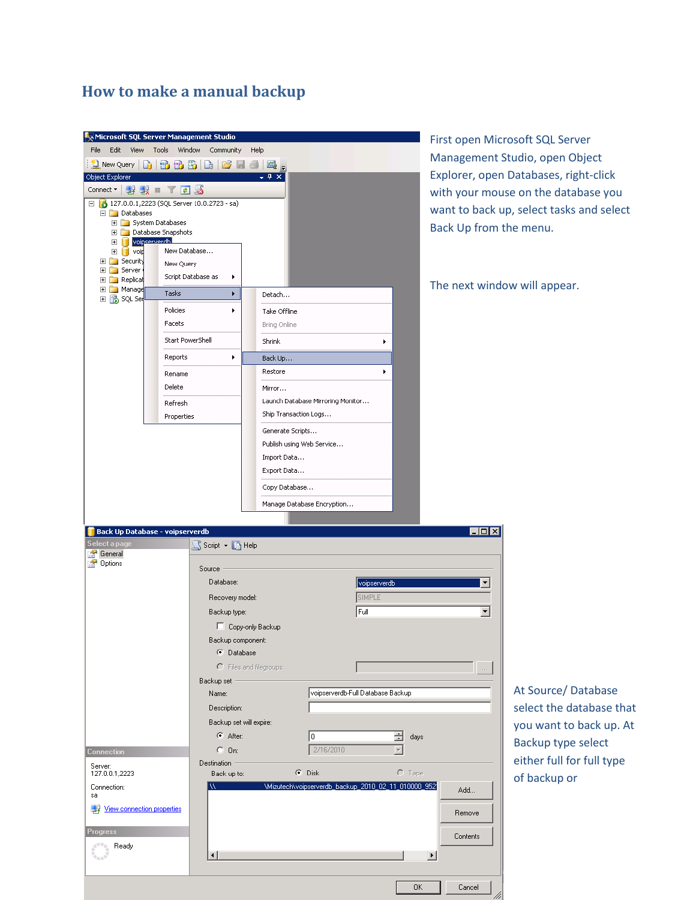### **How to make a manual backup**

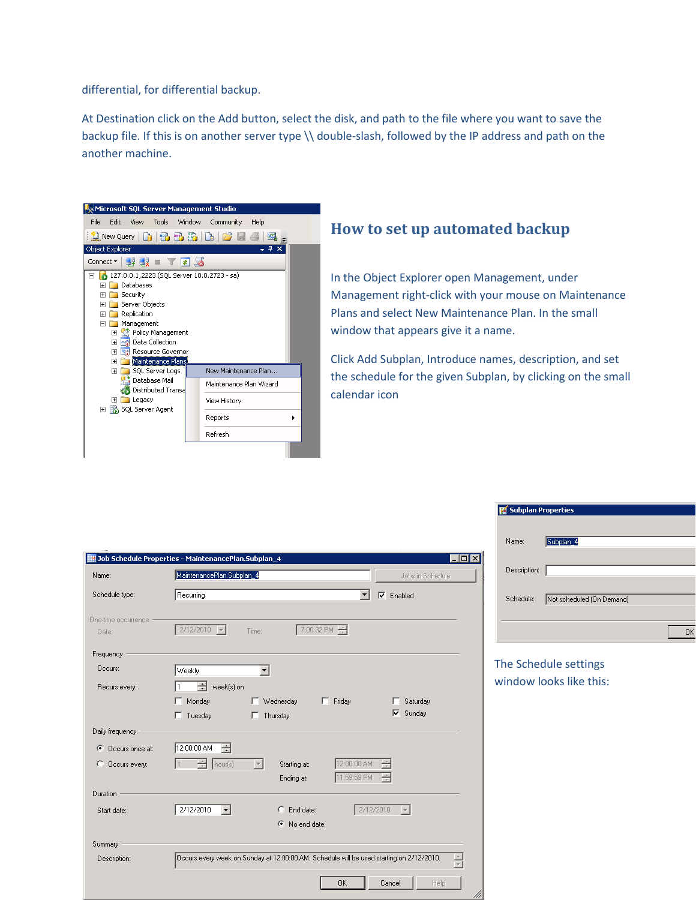differential, for differential backup.

At Destination click on the Add button, select the disk, and path to the file where you want to save the backup file. If this is on another server type \\ double-slash, followed by the IP address and path on the another machine.



#### **How to set up automated backup**

In the Object Explorer open Management, under Management right-click with your mouse on Maintenance Plans and select New Maintenance Plan. In the small window that appears give it a name.

Click Add Subplan, Introduce names, description, and set the schedule for the given Subplan, by clicking on the small calendar icon

/i/

Subplan Properties

|                              |                                                                                                                         | Name:        | Subplan_4                 |
|------------------------------|-------------------------------------------------------------------------------------------------------------------------|--------------|---------------------------|
|                              | $\blacksquare\square$<br>Job Schedule Properties - MaintenancePlan.Subplan_4                                            |              |                           |
| Name:                        | MaintenancePlan.Subplan_4<br>Jobs in Schedule                                                                           | Description: |                           |
| Schedule type:               | Recurring<br>$\blacktriangledown$<br>$\nabla$ Enabled                                                                   | Schedule:    | Not scheduled (On Demand) |
| One-time occurrence<br>Date: | 7:00:32 PM<br>$2/12/2010$ $\blacktriangleright$<br>Time:                                                                |              | 0K                        |
| Frequency                    |                                                                                                                         |              |                           |
| Occurs:                      | Weekly<br>$\overline{\phantom{a}}$                                                                                      |              | The Schedule settings     |
| Recurs every:                | ÷<br>week(s) on                                                                                                         |              | window looks like this:   |
|                              | $\Box$ Monday<br>$\Box$ Friday<br>$\Box$ Wednesday<br>$\Box$ Saturday                                                   |              |                           |
|                              | ⊽<br>Sunday<br>T Tuesday<br>$\Box$ Thursday                                                                             |              |                           |
| Daily frequency              |                                                                                                                         |              |                           |
| Occurs once at:<br>G.        | 12:00:00 AM<br>÷                                                                                                        |              |                           |
| C Occurs every:              | 12:00:00 AM<br>$\frac{1}{x}$ hour(s)<br>÷<br>Starting at:<br>$\overline{\phantom{a}}$<br>11:59:59 PM<br>÷<br>Ending at: |              |                           |
| Duration                     |                                                                                                                         |              |                           |
| Start date:                  | 2/12/2010<br>$C$ End date:<br>2/12/2010<br>$\vert \cdot \vert$<br>ाच                                                    |              |                           |
|                              | C No end date:                                                                                                          |              |                           |
| Summary                      |                                                                                                                         |              |                           |
| Description:                 | Occurs every week on Sunday at 12:00:00 AM. Schedule will be used starting on 2/12/2010.<br>$\frac{1}{\sqrt{2}}$        |              |                           |
|                              | Help.<br>OK.<br>Cancel                                                                                                  |              |                           |